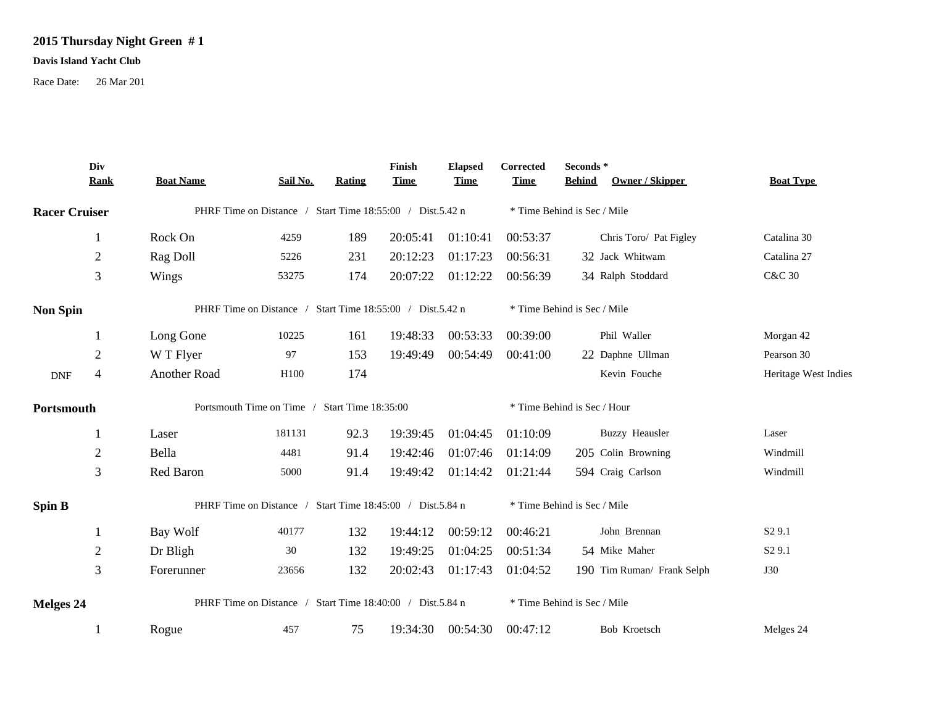## **2015 Thursday Night Green # 1**

## **Davis Island Yacht Club**

Race Date: 26 Mar 201

|                      | Div<br><b>Rank</b>                                        | <b>Boat Name</b>                                          | Sail No. | Rating | Finish<br><b>Time</b> | <b>Elapsed</b><br><b>Time</b> | Corrected<br><b>Time</b>    | Seconds *<br><b>Behind</b><br>Owner / Skipper | <b>Boat Type</b>     |  |
|----------------------|-----------------------------------------------------------|-----------------------------------------------------------|----------|--------|-----------------------|-------------------------------|-----------------------------|-----------------------------------------------|----------------------|--|
| <b>Racer Cruiser</b> |                                                           | PHRF Time on Distance / Start Time 18:55:00 / Dist.5.42 n |          |        |                       |                               | * Time Behind is Sec / Mile |                                               |                      |  |
|                      |                                                           | Rock On                                                   | 4259     | 189    | 20:05:41              | 01:10:41                      | 00:53:37                    | Chris Toro/ Pat Figley                        | Catalina 30          |  |
|                      | $\boldsymbol{2}$                                          | Rag Doll                                                  | 5226     | 231    | 20:12:23              | 01:17:23                      | 00:56:31                    | 32 Jack Whitwam                               | Catalina 27          |  |
|                      | 3                                                         | Wings                                                     | 53275    | 174    | 20:07:22              | 01:12:22                      | 00:56:39                    | 34 Ralph Stoddard                             | <b>C&amp;C 30</b>    |  |
| <b>Non Spin</b>      |                                                           | PHRF Time on Distance / Start Time 18:55:00 / Dist.5.42 n |          |        |                       |                               |                             | * Time Behind is Sec / Mile                   |                      |  |
|                      |                                                           | Long Gone                                                 | 10225    | 161    | 19:48:33              | 00:53:33                      | 00:39:00                    | Phil Waller                                   | Morgan 42            |  |
|                      | $\overline{2}$                                            | W T Flyer                                                 | 97       | 153    | 19:49:49              | 00:54:49                      | 00:41:00                    | 22 Daphne Ullman                              | Pearson 30           |  |
| <b>DNF</b>           | $\overline{4}$                                            | Another Road                                              | H100     | 174    |                       |                               |                             | Kevin Fouche                                  | Heritage West Indies |  |
| Portsmouth           |                                                           | Portsmouth Time on Time / Start Time 18:35:00             |          |        |                       |                               | * Time Behind is Sec / Hour |                                               |                      |  |
|                      |                                                           | Laser                                                     | 181131   | 92.3   | 19:39:45              | 01:04:45                      | 01:10:09                    | <b>Buzzy Heausler</b>                         | Laser                |  |
|                      | $\overline{2}$                                            | Bella                                                     | 4481     | 91.4   | 19:42:46              | 01:07:46                      | 01:14:09                    | 205 Colin Browning                            | Windmill             |  |
|                      | 3                                                         | Red Baron                                                 | 5000     | 91.4   | 19:49:42              | 01:14:42                      | 01:21:44                    | 594 Craig Carlson                             | Windmill             |  |
| <b>Spin B</b>        | PHRF Time on Distance / Start Time 18:45:00 / Dist.5.84 n |                                                           |          |        |                       |                               | * Time Behind is Sec / Mile |                                               |                      |  |
|                      | 1                                                         | Bay Wolf                                                  | 40177    | 132    | 19:44:12              | 00:59:12                      | 00:46:21                    | John Brennan                                  | S <sub>2</sub> 9.1   |  |
|                      | $\overline{2}$                                            | Dr Bligh                                                  | 30       | 132    | 19:49:25              | 01:04:25                      | 00:51:34                    | 54 Mike Maher                                 | S <sub>2</sub> 9.1   |  |
|                      | 3                                                         | Forerunner                                                | 23656    | 132    | 20:02:43              | 01:17:43                      | 01:04:52                    | 190 Tim Ruman/ Frank Selph                    | <b>J30</b>           |  |
| Melges 24            |                                                           | PHRF Time on Distance / Start Time 18:40:00 / Dist.5.84 n |          |        |                       |                               | * Time Behind is Sec / Mile |                                               |                      |  |
|                      |                                                           | Rogue                                                     | 457      | 75     | 19:34:30              | 00:54:30                      | 00:47:12                    | Bob Kroetsch                                  | Melges 24            |  |